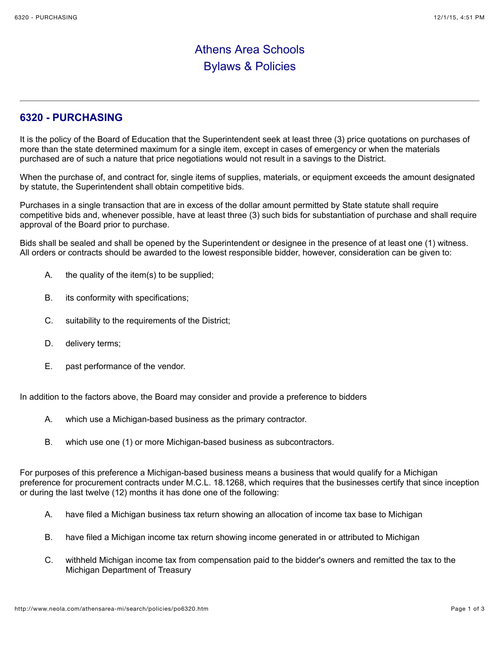## Athens Area Schools Bylaws & Policies

## **6320 - PURCHASING**

It is the policy of the Board of Education that the Superintendent seek at least three (3) price quotations on purchases of more than the state determined maximum for a single item, except in cases of emergency or when the materials purchased are of such a nature that price negotiations would not result in a savings to the District.

When the purchase of, and contract for, single items of supplies, materials, or equipment exceeds the amount designated by statute, the Superintendent shall obtain competitive bids.

Purchases in a single transaction that are in excess of the dollar amount permitted by State statute shall require competitive bids and, whenever possible, have at least three (3) such bids for substantiation of purchase and shall require approval of the Board prior to purchase.

Bids shall be sealed and shall be opened by the Superintendent or designee in the presence of at least one (1) witness. All orders or contracts should be awarded to the lowest responsible bidder, however, consideration can be given to:

- A. the quality of the item(s) to be supplied;
- B. its conformity with specifications;
- C. suitability to the requirements of the District;
- D. delivery terms;
- E. past performance of the vendor.

In addition to the factors above, the Board may consider and provide a preference to bidders

- A. which use a Michigan-based business as the primary contractor.
- B. which use one (1) or more Michigan-based business as subcontractors.

For purposes of this preference a Michigan-based business means a business that would qualify for a Michigan preference for procurement contracts under M.C.L. 18.1268, which requires that the businesses certify that since inception or during the last twelve (12) months it has done one of the following:

- A. have filed a Michigan business tax return showing an allocation of income tax base to Michigan
- B. have filed a Michigan income tax return showing income generated in or attributed to Michigan
- C. withheld Michigan income tax from compensation paid to the bidder's owners and remitted the tax to the Michigan Department of Treasury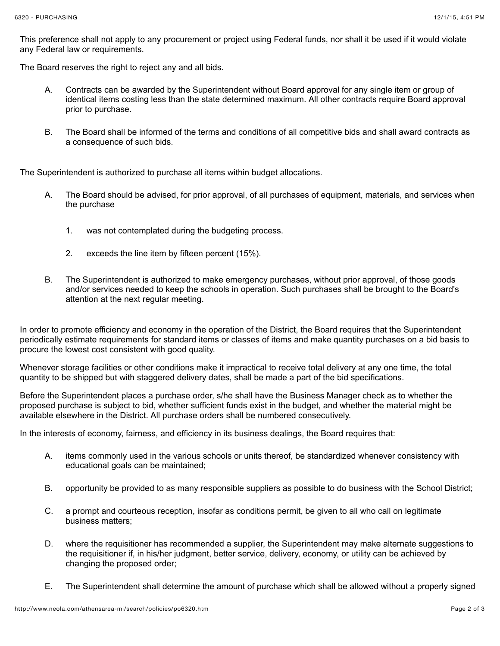This preference shall not apply to any procurement or project using Federal funds, nor shall it be used if it would violate any Federal law or requirements.

The Board reserves the right to reject any and all bids.

- A. Contracts can be awarded by the Superintendent without Board approval for any single item or group of identical items costing less than the state determined maximum. All other contracts require Board approval prior to purchase.
- B. The Board shall be informed of the terms and conditions of all competitive bids and shall award contracts as a consequence of such bids.

The Superintendent is authorized to purchase all items within budget allocations.

- A. The Board should be advised, for prior approval, of all purchases of equipment, materials, and services when the purchase
	- 1. was not contemplated during the budgeting process.
	- 2. exceeds the line item by fifteen percent (15%).
- B. The Superintendent is authorized to make emergency purchases, without prior approval, of those goods and/or services needed to keep the schools in operation. Such purchases shall be brought to the Board's attention at the next regular meeting.

In order to promote efficiency and economy in the operation of the District, the Board requires that the Superintendent periodically estimate requirements for standard items or classes of items and make quantity purchases on a bid basis to procure the lowest cost consistent with good quality.

Whenever storage facilities or other conditions make it impractical to receive total delivery at any one time, the total quantity to be shipped but with staggered delivery dates, shall be made a part of the bid specifications.

Before the Superintendent places a purchase order, s/he shall have the Business Manager check as to whether the proposed purchase is subject to bid, whether sufficient funds exist in the budget, and whether the material might be available elsewhere in the District. All purchase orders shall be numbered consecutively.

In the interests of economy, fairness, and efficiency in its business dealings, the Board requires that:

- A. items commonly used in the various schools or units thereof, be standardized whenever consistency with educational goals can be maintained;
- B. opportunity be provided to as many responsible suppliers as possible to do business with the School District;
- C. a prompt and courteous reception, insofar as conditions permit, be given to all who call on legitimate business matters;
- D. where the requisitioner has recommended a supplier, the Superintendent may make alternate suggestions to the requisitioner if, in his/her judgment, better service, delivery, economy, or utility can be achieved by changing the proposed order;
- E. The Superintendent shall determine the amount of purchase which shall be allowed without a properly signed